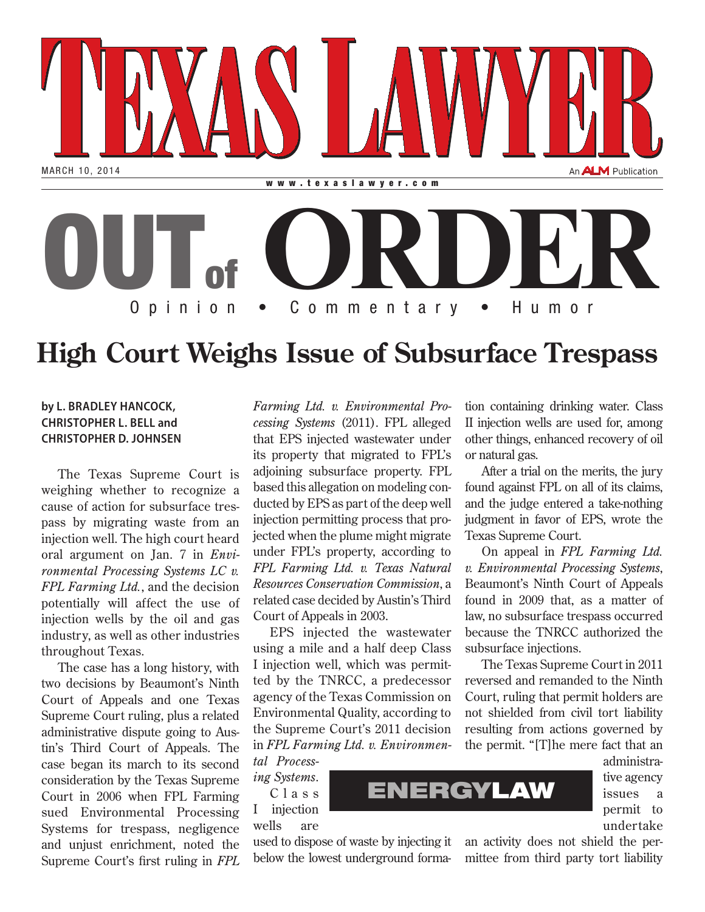

## **High Court Weighs Issue of Subsurface Trespass**

## **by L. BRADLEY HANCOCK, CHRISTOPHER L. BELL and CHRISTOPHER D. JOHNSEN**

The Texas Supreme Court is weighing whether to recognize a cause of action for subsurface trespass by migrating waste from an injection well. The high court heard oral argument on Jan. 7 in *Environmental Processing Systems LC v. FPL Farming Ltd.*, and the decision potentially will affect the use of injection wells by the oil and gas industry, as well as other industries throughout Texas.

The case has a long history, with two decisions by Beaumont's Ninth Court of Appeals and one Texas Supreme Court ruling, plus a related administrative dispute going to Austin's Third Court of Appeals. The case began its march to its second consideration by the Texas Supreme Court in 2006 when FPL Farming sued Environmental Processing Systems for trespass, negligence and unjust enrichment, noted the Supreme Court's first ruling in *FPL* 

*Farming Ltd. v. Environmental Processing Systems* (2011). FPL alleged that EPS injected wastewater under its property that migrated to FPL's adjoining subsurface property. FPL based this allegation on modeling conducted by EPS as part of the deep well injection permitting process that projected when the plume might migrate under FPL's property, according to *FPL Farming Ltd. v. Texas Natural Resources Conservation Commission*, a related case decided by Austin's Third Court of Appeals in 2003.

EPS injected the wastewater using a mile and a half deep Class I injection well, which was permitted by the TNRCC, a predecessor agency of the Texas Commission on Environmental Quality, according to the Supreme Court's 2011 decision in *FPL Farming Ltd. v. Environmen-*

*tal Processing Systems*. C l a s s I injection wells are

used to dispose of waste by injecting it below the lowest underground formation containing drinking water. Class II injection wells are used for, among other things, enhanced recovery of oil or natural gas.

After a trial on the merits, the jury found against FPL on all of its claims, and the judge entered a take-nothing judgment in favor of EPS, wrote the Texas Supreme Court.

On appeal in *FPL Farming Ltd. v. Environmental Processing Systems*, Beaumont's Ninth Court of Appeals found in 2009 that, as a matter of law, no subsurface trespass occurred because the TNRCC authorized the subsurface injections.

The Texas Supreme Court in 2011 reversed and remanded to the Ninth Court, ruling that permit holders are not shielded from civil tort liability resulting from actions governed by the permit. "[T]he mere fact that an

> administrative agency issues a permit to undertake

an activity does not shield the permittee from third party tort liability

ENERGYLAW